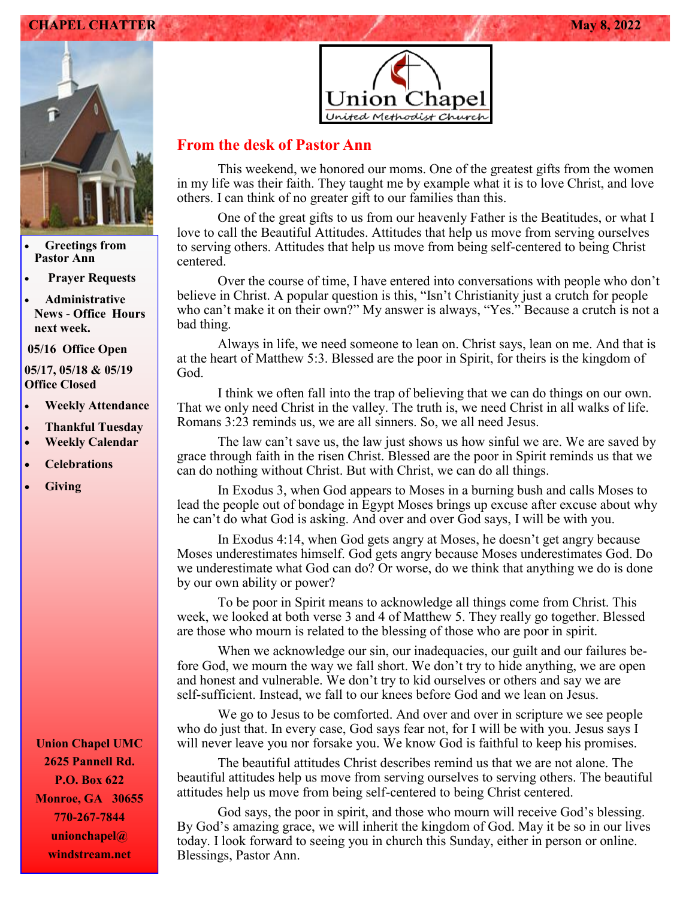### **CHAPEL CHATTER May 8, 2022**



• **Greetings from Pastor Ann** 

• **Prayer Requests**

• **Administrative News - Office Hours next week.**

**05/16 Office Open** 

**05/17, 05/18 & 05/19 Office Closed**

- **Weekly Attendance**
- **Thankful Tuesday**
- **Weekly Calendar**
- **Celebrations**
- **Giving**

**Union Chapel UMC 2625 Pannell Rd. P.O. Box 622 Monroe, GA 30655 770-267-7844 unionchapel@ windstream.net**



### **From the desk of Pastor Ann**

This weekend, we honored our moms. One of the greatest gifts from the women in my life was their faith. They taught me by example what it is to love Christ, and love others. I can think of no greater gift to our families than this.

One of the great gifts to us from our heavenly Father is the Beatitudes, or what I love to call the Beautiful Attitudes. Attitudes that help us move from serving ourselves to serving others. Attitudes that help us move from being self-centered to being Christ centered.

Over the course of time, I have entered into conversations with people who don't believe in Christ. A popular question is this, "Isn't Christianity just a crutch for people who can't make it on their own?" My answer is always, "Yes." Because a crutch is not a bad thing.

Always in life, we need someone to lean on. Christ says, lean on me. And that is at the heart of Matthew 5:3. Blessed are the poor in Spirit, for theirs is the kingdom of God.

I think we often fall into the trap of believing that we can do things on our own. That we only need Christ in the valley. The truth is, we need Christ in all walks of life. Romans 3:23 reminds us, we are all sinners. So, we all need Jesus.

The law can't save us, the law just shows us how sinful we are. We are saved by grace through faith in the risen Christ. Blessed are the poor in Spirit reminds us that we can do nothing without Christ. But with Christ, we can do all things.

In Exodus 3, when God appears to Moses in a burning bush and calls Moses to lead the people out of bondage in Egypt Moses brings up excuse after excuse about why he can't do what God is asking. And over and over God says, I will be with you.

In Exodus 4:14, when God gets angry at Moses, he doesn't get angry because Moses underestimates himself. God gets angry because Moses underestimates God. Do we underestimate what God can do? Or worse, do we think that anything we do is done by our own ability or power?

To be poor in Spirit means to acknowledge all things come from Christ. This week, we looked at both verse 3 and 4 of Matthew 5. They really go together. Blessed are those who mourn is related to the blessing of those who are poor in spirit.

When we acknowledge our sin, our inadequacies, our guilt and our failures before God, we mourn the way we fall short. We don't try to hide anything, we are open and honest and vulnerable. We don't try to kid ourselves or others and say we are self-sufficient. Instead, we fall to our knees before God and we lean on Jesus.

We go to Jesus to be comforted. And over and over in scripture we see people who do just that. In every case, God says fear not, for I will be with you. Jesus says I will never leave you nor forsake you. We know God is faithful to keep his promises.

The beautiful attitudes Christ describes remind us that we are not alone. The beautiful attitudes help us move from serving ourselves to serving others. The beautiful attitudes help us move from being self-centered to being Christ centered.

God says, the poor in spirit, and those who mourn will receive God's blessing. By God's amazing grace, we will inherit the kingdom of God. May it be so in our lives today. I look forward to seeing you in church this Sunday, either in person or online. Blessings, Pastor Ann.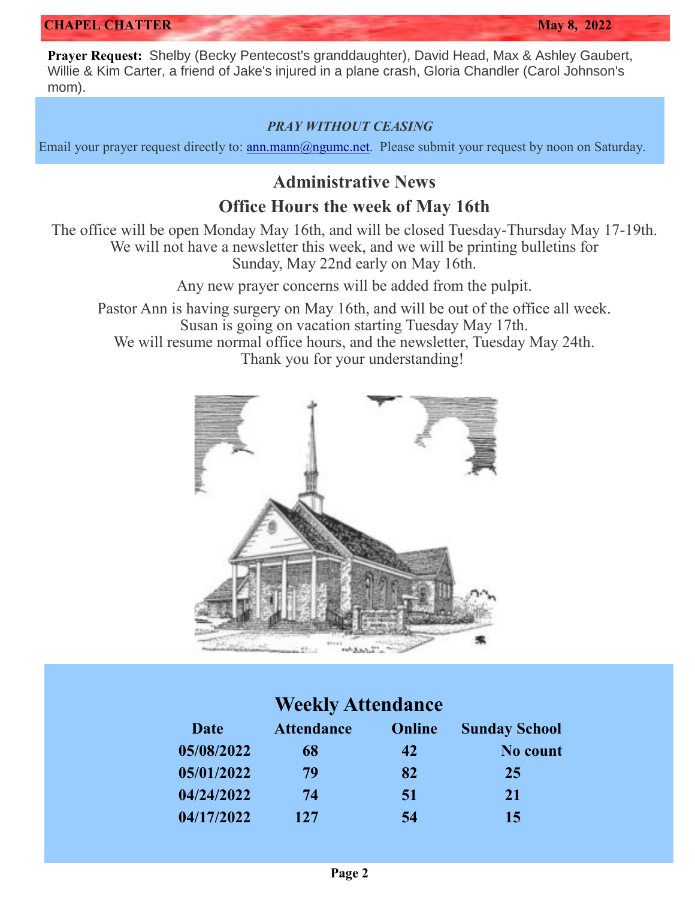**Prayer Request:** Shelby (Becky Pentecost's granddaughter), David Head, Max & Ashley Gaubert, Willie & Kim Carter, a friend of Jake's injured in a plane crash, Gloria Chandler (Carol Johnson's mom).

### *PRAY WITHOUT CEASING*

Email your prayer request directly to: [ann.mann@ngumc.net.](mailto:ann.mann@ngumc.net) Please submit your request by noon on Saturday.

# **Administrative News**

### **Office Hours the week of May 16th**

The office will be open Monday May 16th, and will be closed Tuesday-Thursday May 17-19th. We will not have a newsletter this week, and we will be printing bulletins for Sunday, May 22nd early on May 16th.

Any new prayer concerns will be added from the pulpit.

Pastor Ann is having surgery on May 16th, and will be out of the office all week. Susan is going on vacation starting Tuesday May 17th. We will resume normal office hours, and the newsletter, Tuesday May 24th. Thank you for your understanding!



## **Weekly Attendance**

| Date       | <b>Attendance</b> | Online | <b>Sunday School</b> |
|------------|-------------------|--------|----------------------|
| 05/08/2022 | 68                | 42     | No count             |
| 05/01/2022 | 79                | 82     | 25                   |
| 04/24/2022 | 74                | 51     | <b>21</b>            |
| 04/17/2022 | 127               | 54     | 15                   |
|            |                   |        |                      |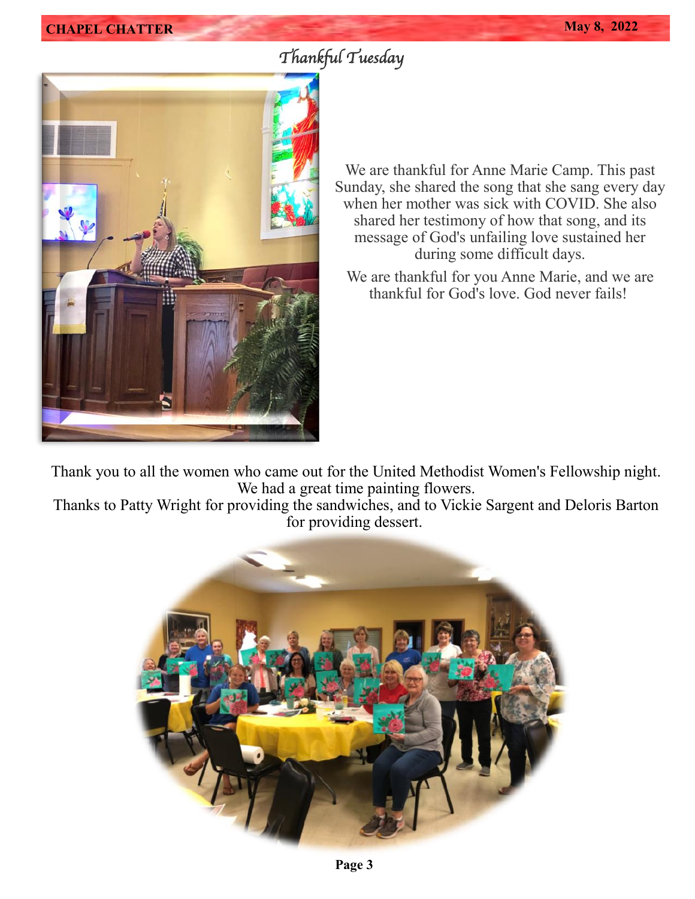# *Thankful Tuesday*



We are thankful for Anne Marie Camp. This past Sunday, she shared the song that she sang every day when her mother was sick with COVID. She also shared her testimony of how that song, and its message of God's unfailing love sustained her during some difficult days.

We are thankful for you Anne Marie, and we are thankful for God's love. God never fails!

Thank you to all the women who came out for the United Methodist Women's Fellowship night. We had a great time painting flowers.

Thanks to Patty Wright for providing the sandwiches, and to Vickie Sargent and Deloris Barton for providing dessert.